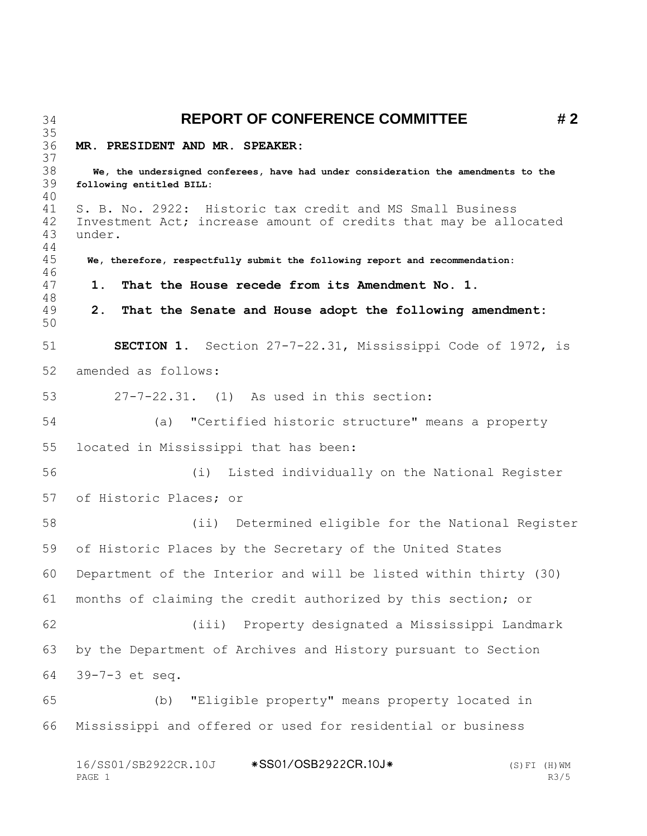**REPORT OF CONFERENCE COMMITTEE # 2 MR. PRESIDENT AND MR. SPEAKER: We, the undersigned conferees, have had under consideration the amendments to the following entitled BILL:** S. B. No. 2922: Historic tax credit and MS Small Business Investment Act; increase amount of credits that may be allocated under.  **We, therefore, respectfully submit the following report and recommendation: 1. That the House recede from its Amendment No. 1. 2. That the Senate and House adopt the following amendment: SECTION 1.** Section 27-7-22.31, Mississippi Code of 1972, is amended as follows: 27-7-22.31. (1) As used in this section: (a) "Certified historic structure" means a property located in Mississippi that has been: (i) Listed individually on the National Register of Historic Places; or (ii) Determined eligible for the National Register of Historic Places by the Secretary of the United States Department of the Interior and will be listed within thirty (30) months of claiming the credit authorized by this section; or (iii) Property designated a Mississippi Landmark by the Department of Archives and History pursuant to Section 39-7-3 et seq. (b) "Eligible property" means property located in Mississippi and offered or used for residential or business

16/SS01/SB2922CR.10J \*SS01/OSB2922CR.10J\* (S)FI (H)WM<br>PAGE 1 6/SS01/SB2922CR.10J\* (S)FI (H)WM PAGE 1 R3/5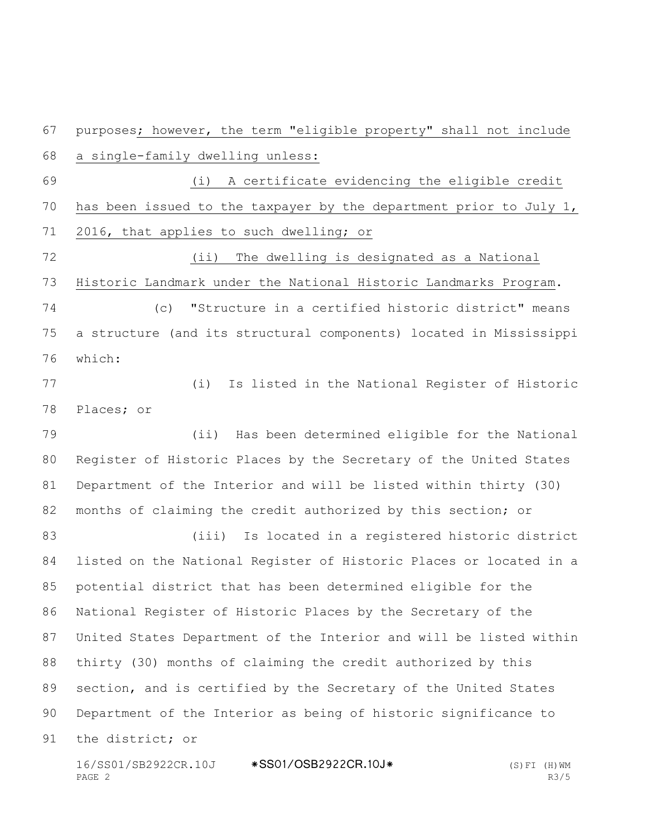(i) A certificate evidencing the eligible credit has been issued to the taxpayer by the department prior to July 1, 2016, that applies to such dwelling; or (ii) The dwelling is designated as a National Historic Landmark under the National Historic Landmarks Program. (c) "Structure in a certified historic district" means a structure (and its structural components) located in Mississippi which: (i) Is listed in the National Register of Historic Places; or (ii) Has been determined eligible for the National Register of Historic Places by the Secretary of the United States Department of the Interior and will be listed within thirty (30) months of claiming the credit authorized by this section; or (iii) Is located in a registered historic district listed on the National Register of Historic Places or located in a potential district that has been determined eligible for the National Register of Historic Places by the Secretary of the United States Department of the Interior and will be listed within thirty (30) months of claiming the credit authorized by this section, and is certified by the Secretary of the United States Department of the Interior as being of historic significance to the district; or

purposes; however, the term "eligible property" shall not include

a single-family dwelling unless:

16/SS01/SB2922CR.10J \*SS01/OSB2922CR.10J\* (S)FI (H)WM<br>PAGE 2 R3/5 PAGE 2 R3/5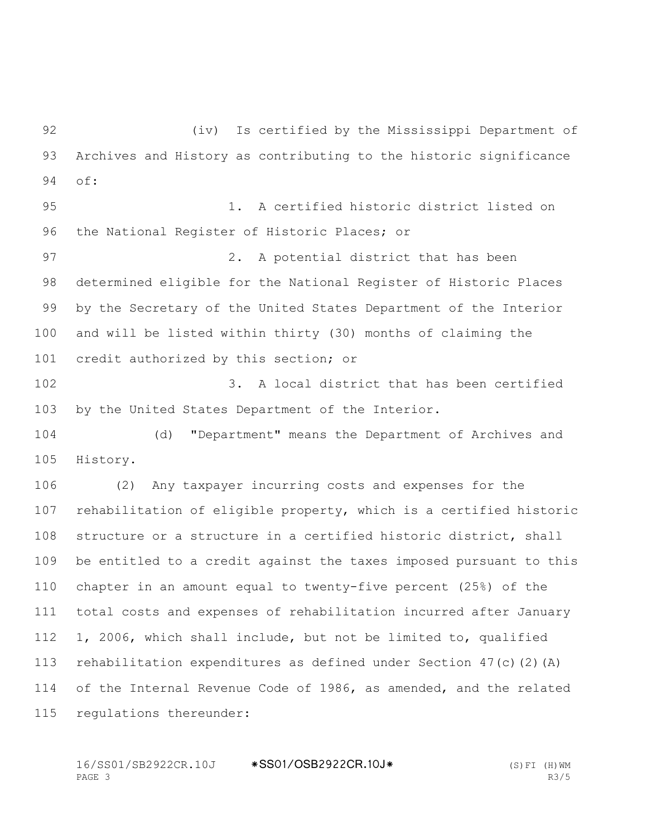(iv) Is certified by the Mississippi Department of Archives and History as contributing to the historic significance of: 1. A certified historic district listed on the National Register of Historic Places; or 2. A potential district that has been determined eligible for the National Register of Historic Places by the Secretary of the United States Department of the Interior and will be listed within thirty (30) months of claiming the credit authorized by this section; or 3. A local district that has been certified by the United States Department of the Interior. (d) "Department" means the Department of Archives and History. (2) Any taxpayer incurring costs and expenses for the rehabilitation of eligible property, which is a certified historic structure or a structure in a certified historic district, shall be entitled to a credit against the taxes imposed pursuant to this chapter in an amount equal to twenty-five percent (25%) of the total costs and expenses of rehabilitation incurred after January 1, 2006, which shall include, but not be limited to, qualified rehabilitation expenditures as defined under Section 47(c)(2)(A) of the Internal Revenue Code of 1986, as amended, and the related regulations thereunder: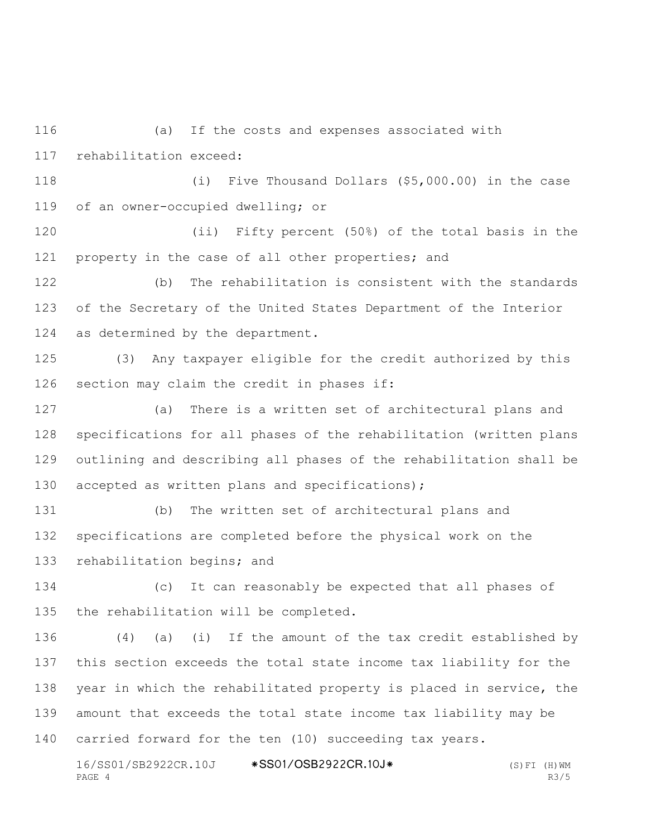(a) If the costs and expenses associated with rehabilitation exceed:

 (i) Five Thousand Dollars (\$5,000.00) in the case of an owner-occupied dwelling; or

 (ii) Fifty percent (50%) of the total basis in the property in the case of all other properties; and

 (b) The rehabilitation is consistent with the standards of the Secretary of the United States Department of the Interior as determined by the department.

 (3) Any taxpayer eligible for the credit authorized by this section may claim the credit in phases if:

 (a) There is a written set of architectural plans and specifications for all phases of the rehabilitation (written plans outlining and describing all phases of the rehabilitation shall be 130 accepted as written plans and specifications);

 (b) The written set of architectural plans and specifications are completed before the physical work on the rehabilitation begins; and

 (c) It can reasonably be expected that all phases of the rehabilitation will be completed.

 (4) (a) (i) If the amount of the tax credit established by this section exceeds the total state income tax liability for the year in which the rehabilitated property is placed in service, the amount that exceeds the total state income tax liability may be carried forward for the ten (10) succeeding tax years.

16/SS01/SB2922CR.10J \*SS01/OSB2922CR.10J\* (S)FI (H)WM<br>PAGE 4 R3/5 PAGE 4 R3/5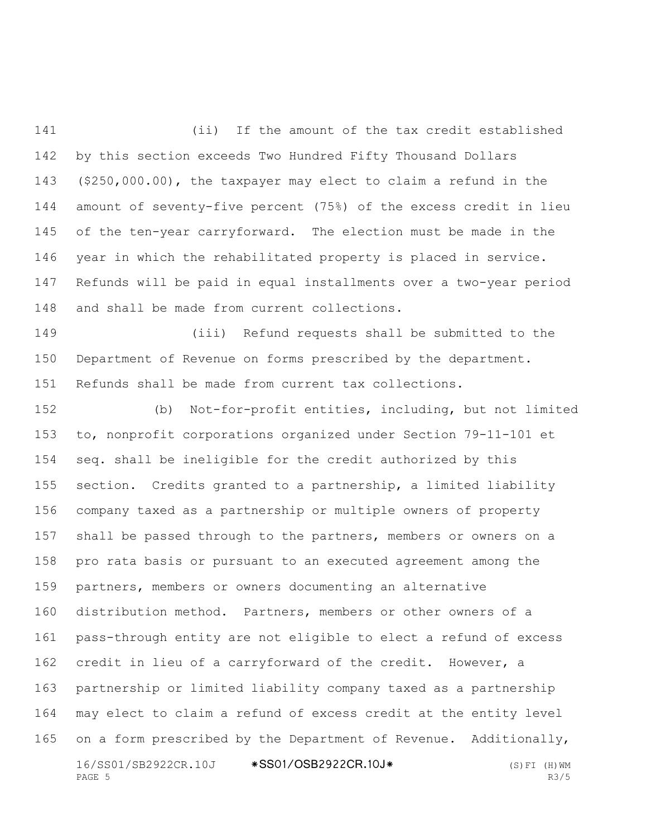(ii) If the amount of the tax credit established by this section exceeds Two Hundred Fifty Thousand Dollars (\$250,000.00), the taxpayer may elect to claim a refund in the amount of seventy-five percent (75%) of the excess credit in lieu of the ten-year carryforward. The election must be made in the year in which the rehabilitated property is placed in service. Refunds will be paid in equal installments over a two-year period and shall be made from current collections.

 (iii) Refund requests shall be submitted to the Department of Revenue on forms prescribed by the department. Refunds shall be made from current tax collections.

16/SS01/SB2922CR.10J \*SS01/OSB2922CR.10J\* (S)FI (H)WM<br>PAGE 5 R3/5 PAGE 5 R3/5 (b) Not-for-profit entities, including, but not limited to, nonprofit corporations organized under Section 79-11-101 et seq. shall be ineligible for the credit authorized by this section. Credits granted to a partnership, a limited liability company taxed as a partnership or multiple owners of property shall be passed through to the partners, members or owners on a pro rata basis or pursuant to an executed agreement among the partners, members or owners documenting an alternative distribution method. Partners, members or other owners of a pass-through entity are not eligible to elect a refund of excess credit in lieu of a carryforward of the credit. However, a partnership or limited liability company taxed as a partnership may elect to claim a refund of excess credit at the entity level 165 on a form prescribed by the Department of Revenue. Additionally,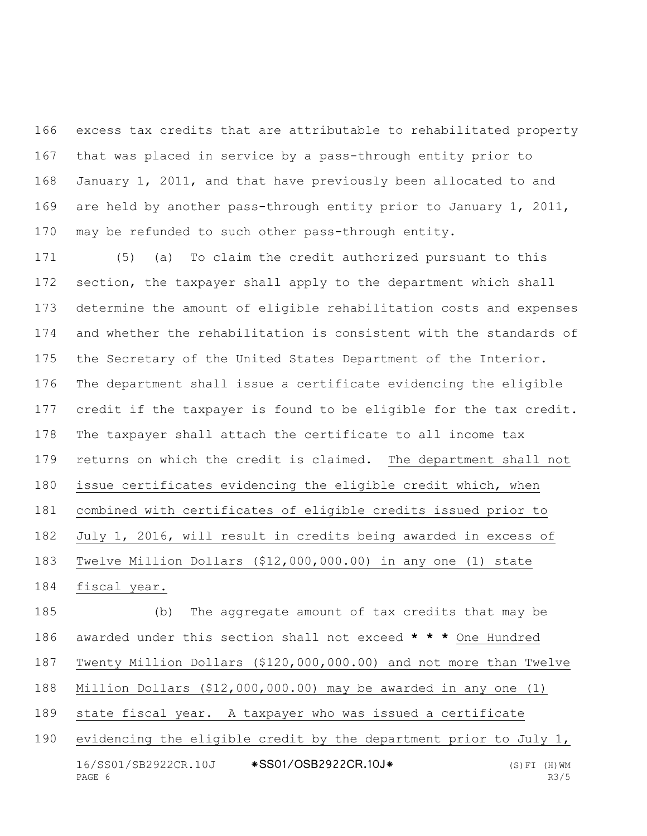excess tax credits that are attributable to rehabilitated property that was placed in service by a pass-through entity prior to January 1, 2011, and that have previously been allocated to and are held by another pass-through entity prior to January 1, 2011, may be refunded to such other pass-through entity.

 (5) (a) To claim the credit authorized pursuant to this section, the taxpayer shall apply to the department which shall determine the amount of eligible rehabilitation costs and expenses and whether the rehabilitation is consistent with the standards of the Secretary of the United States Department of the Interior. The department shall issue a certificate evidencing the eligible credit if the taxpayer is found to be eligible for the tax credit. The taxpayer shall attach the certificate to all income tax returns on which the credit is claimed. The department shall not issue certificates evidencing the eligible credit which, when combined with certificates of eligible credits issued prior to July 1, 2016, will result in credits being awarded in excess of Twelve Million Dollars (\$12,000,000.00) in any one (1) state fiscal year.

 (b) The aggregate amount of tax credits that may be awarded under this section shall not exceed **\* \* \*** One Hundred Twenty Million Dollars (\$120,000,000.00) and not more than Twelve Million Dollars (\$12,000,000.00) may be awarded in any one (1) state fiscal year. A taxpayer who was issued a certificate evidencing the eligible credit by the department prior to July 1,

16/SS01/SB2922CR.10J \*SS01/OSB2922CR.10J\* (S)FI (H)WM<br>PAGE 6 R3/5 PAGE 6 R3/5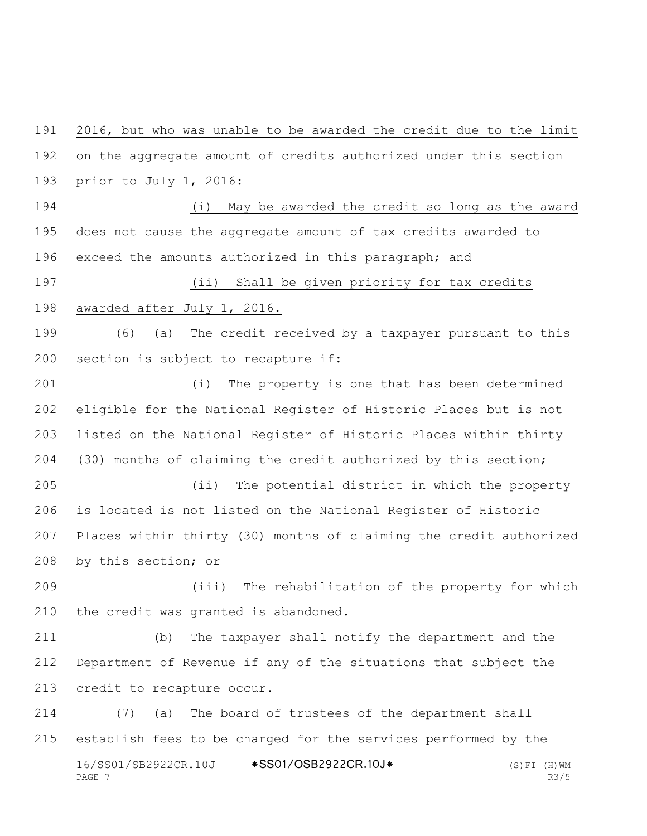16/SS01/SB2922CR.10J \*SS01/OSB2922CR.10J\* (S)FI (H)WM<br>PAGE 7 R3/5 2016, but who was unable to be awarded the credit due to the limit on the aggregate amount of credits authorized under this section prior to July 1, 2016: (i) May be awarded the credit so long as the award does not cause the aggregate amount of tax credits awarded to exceed the amounts authorized in this paragraph; and (ii) Shall be given priority for tax credits awarded after July 1, 2016. (6) (a) The credit received by a taxpayer pursuant to this section is subject to recapture if: (i) The property is one that has been determined eligible for the National Register of Historic Places but is not listed on the National Register of Historic Places within thirty (30) months of claiming the credit authorized by this section; (ii) The potential district in which the property is located is not listed on the National Register of Historic Places within thirty (30) months of claiming the credit authorized by this section; or (iii) The rehabilitation of the property for which the credit was granted is abandoned. (b) The taxpayer shall notify the department and the Department of Revenue if any of the situations that subject the credit to recapture occur. (7) (a) The board of trustees of the department shall establish fees to be charged for the services performed by the

PAGE 7 R3/5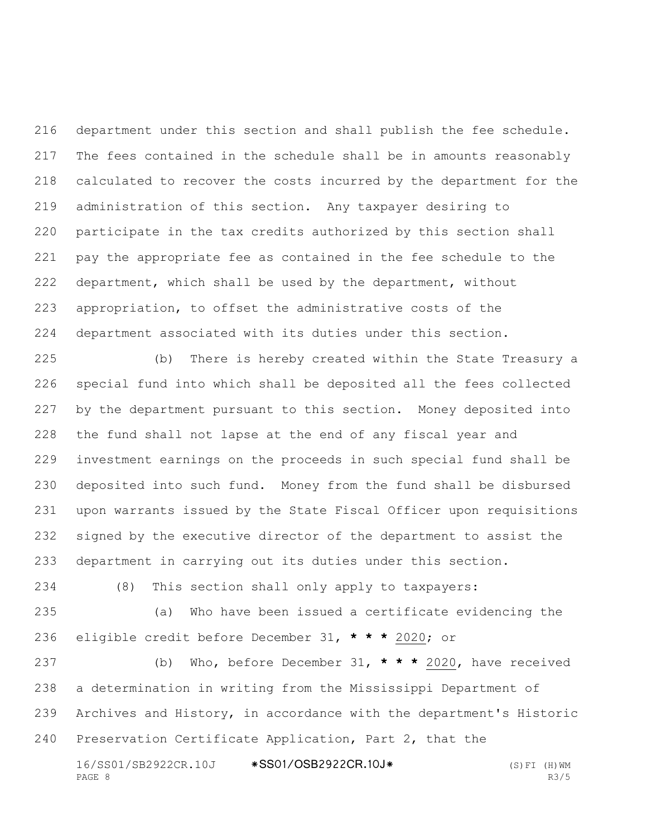department under this section and shall publish the fee schedule. The fees contained in the schedule shall be in amounts reasonably calculated to recover the costs incurred by the department for the administration of this section. Any taxpayer desiring to participate in the tax credits authorized by this section shall pay the appropriate fee as contained in the fee schedule to the department, which shall be used by the department, without appropriation, to offset the administrative costs of the department associated with its duties under this section.

 (b) There is hereby created within the State Treasury a special fund into which shall be deposited all the fees collected by the department pursuant to this section. Money deposited into the fund shall not lapse at the end of any fiscal year and investment earnings on the proceeds in such special fund shall be deposited into such fund. Money from the fund shall be disbursed upon warrants issued by the State Fiscal Officer upon requisitions signed by the executive director of the department to assist the department in carrying out its duties under this section.

(8) This section shall only apply to taxpayers:

 (a) Who have been issued a certificate evidencing the eligible credit before December 31, **\* \* \*** 2020; or

 (b) Who, before December 31, **\* \* \*** 2020, have received a determination in writing from the Mississippi Department of Archives and History, in accordance with the department's Historic Preservation Certificate Application, Part 2, that the

16/SS01/SB2922CR.10J \*SS01/OSB2922CR.10J\* (S)FI (H)WM<br>PAGE 8 R3/5 PAGE 8 R3/5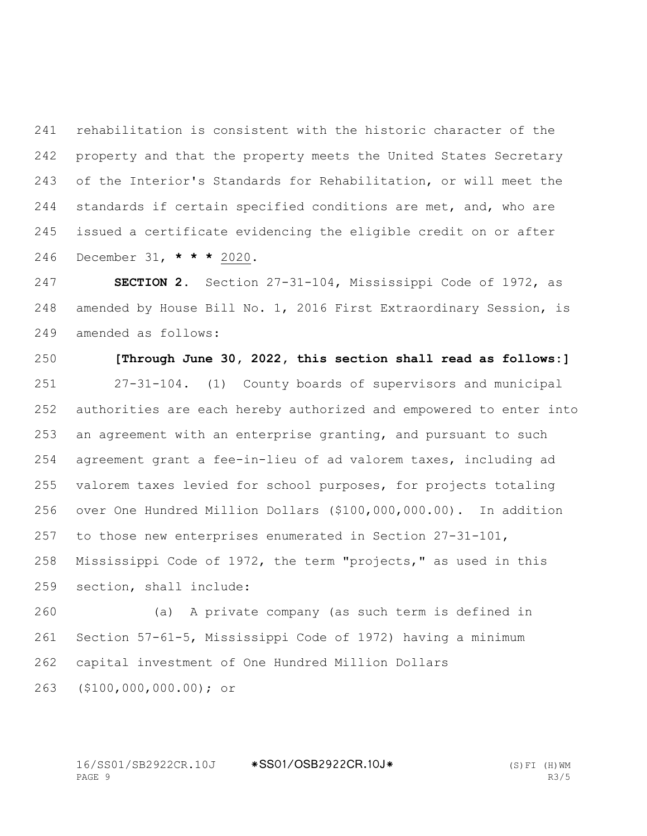rehabilitation is consistent with the historic character of the property and that the property meets the United States Secretary of the Interior's Standards for Rehabilitation, or will meet the 244 standards if certain specified conditions are met, and, who are issued a certificate evidencing the eligible credit on or after December 31, **\* \* \*** 2020.

 **SECTION 2.** Section 27-31-104, Mississippi Code of 1972, as amended by House Bill No. 1, 2016 First Extraordinary Session, is amended as follows:

 **[Through June 30, 2022, this section shall read as follows:]** 27-31-104. (1) County boards of supervisors and municipal authorities are each hereby authorized and empowered to enter into an agreement with an enterprise granting, and pursuant to such agreement grant a fee-in-lieu of ad valorem taxes, including ad valorem taxes levied for school purposes, for projects totaling over One Hundred Million Dollars (\$100,000,000.00). In addition to those new enterprises enumerated in Section 27-31-101, Mississippi Code of 1972, the term "projects," as used in this section, shall include:

 (a) A private company (as such term is defined in Section 57-61-5, Mississippi Code of 1972) having a minimum capital investment of One Hundred Million Dollars (\$100,000,000.00); or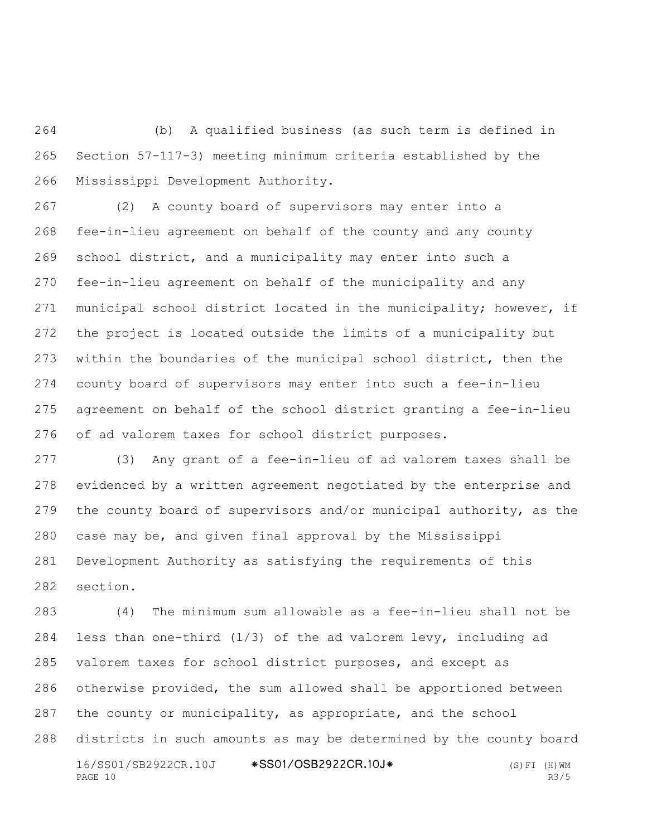(b) A qualified business (as such term is defined in Section 57-117-3) meeting minimum criteria established by the Mississippi Development Authority.

 (2) A county board of supervisors may enter into a fee-in-lieu agreement on behalf of the county and any county school district, and a municipality may enter into such a fee-in-lieu agreement on behalf of the municipality and any municipal school district located in the municipality; however, if the project is located outside the limits of a municipality but within the boundaries of the municipal school district, then the county board of supervisors may enter into such a fee-in-lieu agreement on behalf of the school district granting a fee-in-lieu of ad valorem taxes for school district purposes.

 (3) Any grant of a fee-in-lieu of ad valorem taxes shall be evidenced by a written agreement negotiated by the enterprise and the county board of supervisors and/or municipal authority, as the case may be, and given final approval by the Mississippi Development Authority as satisfying the requirements of this section.

16/SS01/SB2922CR.10J \*SS01/OSB2922CR.10J\* (S)FI (H)WM<br>PAGE 10 R3/5 PAGE 10 R3/5 (4) The minimum sum allowable as a fee-in-lieu shall not be less than one-third (1/3) of the ad valorem levy, including ad valorem taxes for school district purposes, and except as otherwise provided, the sum allowed shall be apportioned between 287 the county or municipality, as appropriate, and the school districts in such amounts as may be determined by the county board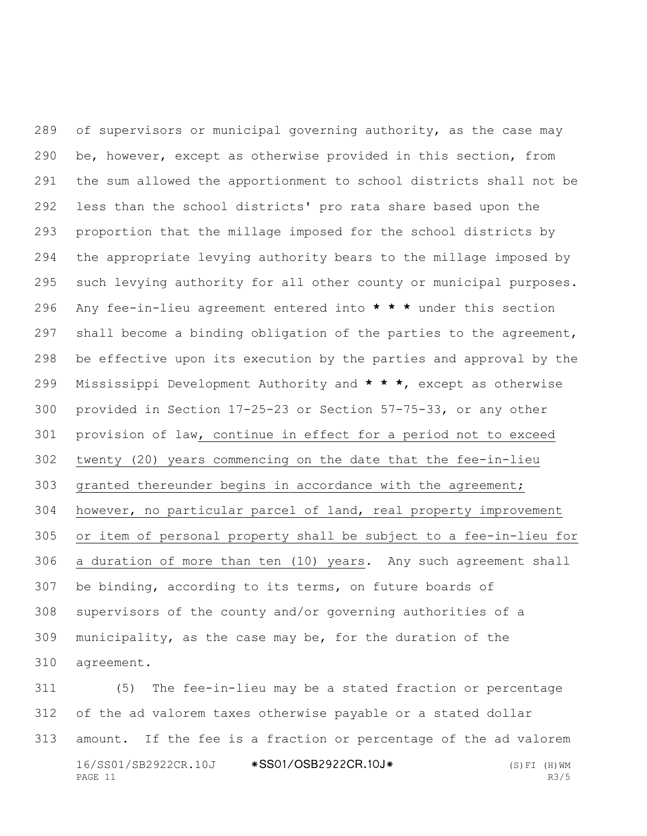of supervisors or municipal governing authority, as the case may be, however, except as otherwise provided in this section, from the sum allowed the apportionment to school districts shall not be less than the school districts' pro rata share based upon the proportion that the millage imposed for the school districts by the appropriate levying authority bears to the millage imposed by such levying authority for all other county or municipal purposes. Any fee-in-lieu agreement entered into **\* \* \*** under this section shall become a binding obligation of the parties to the agreement, be effective upon its execution by the parties and approval by the Mississippi Development Authority and **\* \* \***, except as otherwise provided in Section 17-25-23 or Section 57-75-33, or any other provision of law, continue in effect for a period not to exceed twenty (20) years commencing on the date that the fee-in-lieu granted thereunder begins in accordance with the agreement; however, no particular parcel of land, real property improvement or item of personal property shall be subject to a fee-in-lieu for a duration of more than ten (10) years. Any such agreement shall be binding, according to its terms, on future boards of supervisors of the county and/or governing authorities of a municipality, as the case may be, for the duration of the agreement.

16/SS01/SB2922CR.10J \*SS01/OSB2922CR.10J\* (S)FI (H)WM PAGE 11 R3/5 (5) The fee-in-lieu may be a stated fraction or percentage of the ad valorem taxes otherwise payable or a stated dollar amount. If the fee is a fraction or percentage of the ad valorem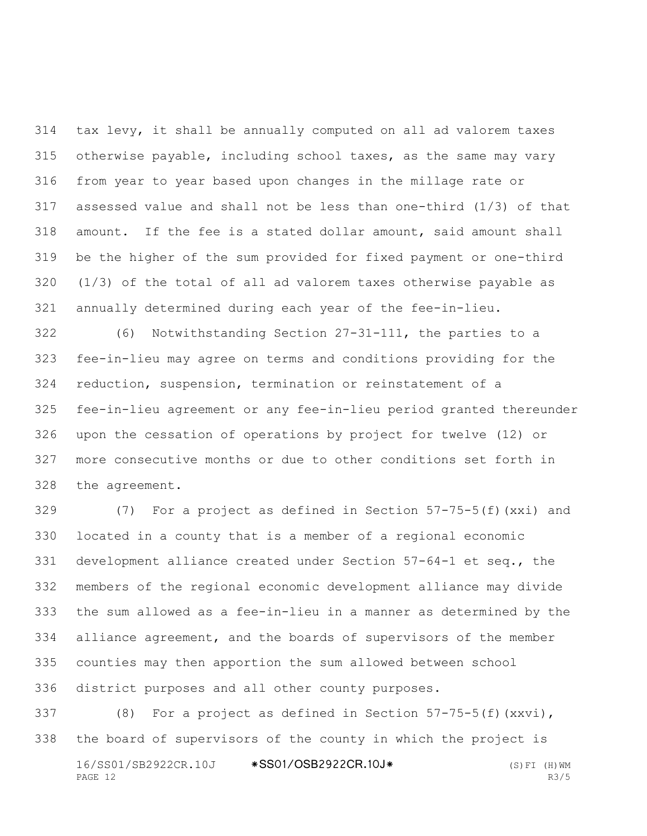tax levy, it shall be annually computed on all ad valorem taxes otherwise payable, including school taxes, as the same may vary from year to year based upon changes in the millage rate or assessed value and shall not be less than one-third (1/3) of that amount. If the fee is a stated dollar amount, said amount shall be the higher of the sum provided for fixed payment or one-third (1/3) of the total of all ad valorem taxes otherwise payable as annually determined during each year of the fee-in-lieu.

 (6) Notwithstanding Section 27-31-111, the parties to a fee-in-lieu may agree on terms and conditions providing for the reduction, suspension, termination or reinstatement of a fee-in-lieu agreement or any fee-in-lieu period granted thereunder upon the cessation of operations by project for twelve (12) or more consecutive months or due to other conditions set forth in the agreement.

 (7) For a project as defined in Section 57-75-5(f)(xxi) and located in a county that is a member of a regional economic development alliance created under Section 57-64-1 et seq., the members of the regional economic development alliance may divide the sum allowed as a fee-in-lieu in a manner as determined by the alliance agreement, and the boards of supervisors of the member counties may then apportion the sum allowed between school district purposes and all other county purposes.

16/SS01/SB2922CR.10J \*SS01/OSB2922CR.10J\* (S)FI (H)WM<br>PAGE 12 R3/5 PAGE 12 R3/5 (8) For a project as defined in Section 57-75-5(f)(xxvi), the board of supervisors of the county in which the project is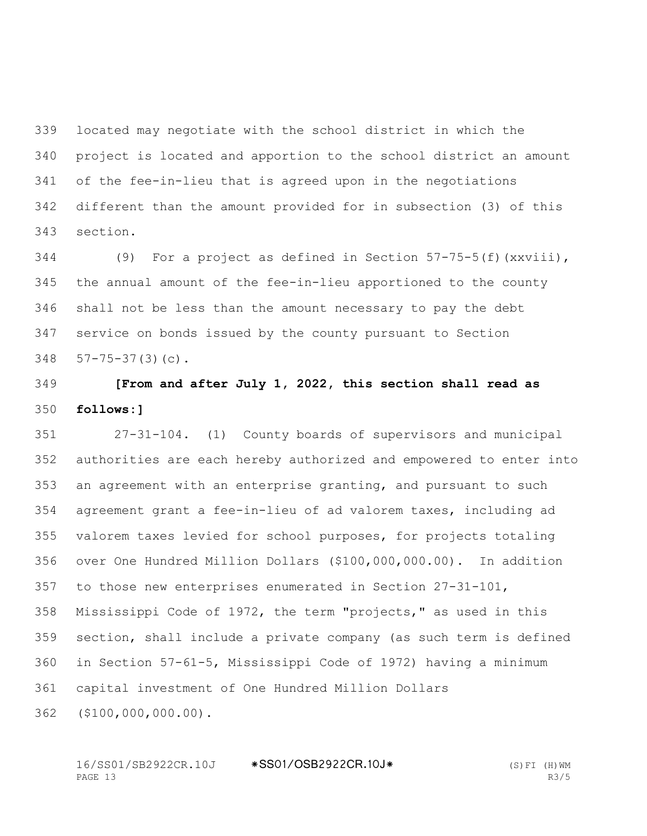located may negotiate with the school district in which the project is located and apportion to the school district an amount of the fee-in-lieu that is agreed upon in the negotiations different than the amount provided for in subsection (3) of this section.

 (9) For a project as defined in Section 57-75-5(f)(xxviii), the annual amount of the fee-in-lieu apportioned to the county shall not be less than the amount necessary to pay the debt service on bonds issued by the county pursuant to Section 57-75-37(3)(c).

 **[From and after July 1, 2022, this section shall read as follows:]**

 27-31-104. (1) County boards of supervisors and municipal authorities are each hereby authorized and empowered to enter into an agreement with an enterprise granting, and pursuant to such agreement grant a fee-in-lieu of ad valorem taxes, including ad valorem taxes levied for school purposes, for projects totaling over One Hundred Million Dollars (\$100,000,000.00). In addition to those new enterprises enumerated in Section 27-31-101, Mississippi Code of 1972, the term "projects," as used in this section, shall include a private company (as such term is defined in Section 57-61-5, Mississippi Code of 1972) having a minimum capital investment of One Hundred Million Dollars

(\$100,000,000.00).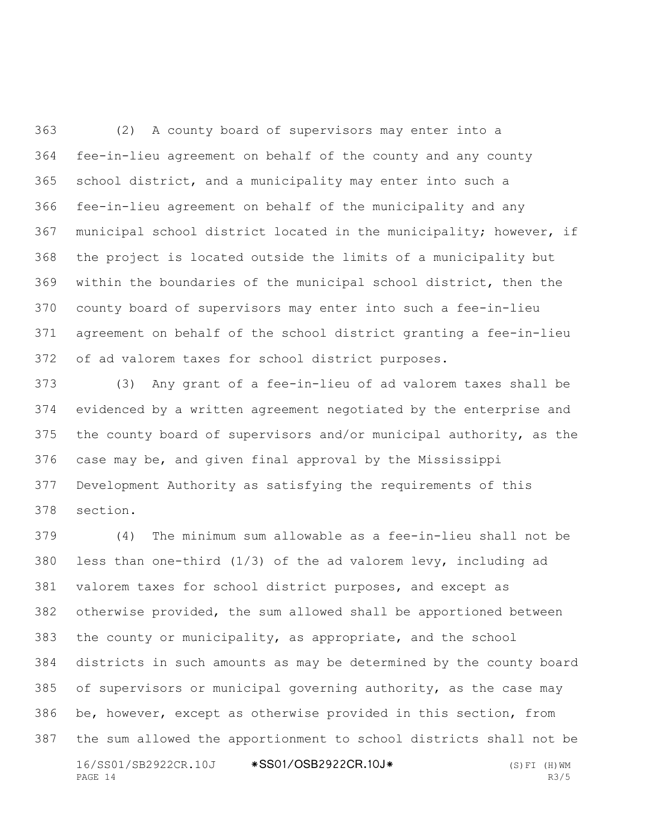(2) A county board of supervisors may enter into a fee-in-lieu agreement on behalf of the county and any county school district, and a municipality may enter into such a fee-in-lieu agreement on behalf of the municipality and any municipal school district located in the municipality; however, if the project is located outside the limits of a municipality but within the boundaries of the municipal school district, then the county board of supervisors may enter into such a fee-in-lieu agreement on behalf of the school district granting a fee-in-lieu of ad valorem taxes for school district purposes.

 (3) Any grant of a fee-in-lieu of ad valorem taxes shall be evidenced by a written agreement negotiated by the enterprise and the county board of supervisors and/or municipal authority, as the case may be, and given final approval by the Mississippi Development Authority as satisfying the requirements of this section.

16/SS01/SB2922CR.10J \*SS01/OSB2922CR.10J\* (S)FI (H)WM<br>PAGE 14 R3/5 PAGE 14 R3/5 (4) The minimum sum allowable as a fee-in-lieu shall not be less than one-third (1/3) of the ad valorem levy, including ad valorem taxes for school district purposes, and except as otherwise provided, the sum allowed shall be apportioned between the county or municipality, as appropriate, and the school districts in such amounts as may be determined by the county board of supervisors or municipal governing authority, as the case may be, however, except as otherwise provided in this section, from the sum allowed the apportionment to school districts shall not be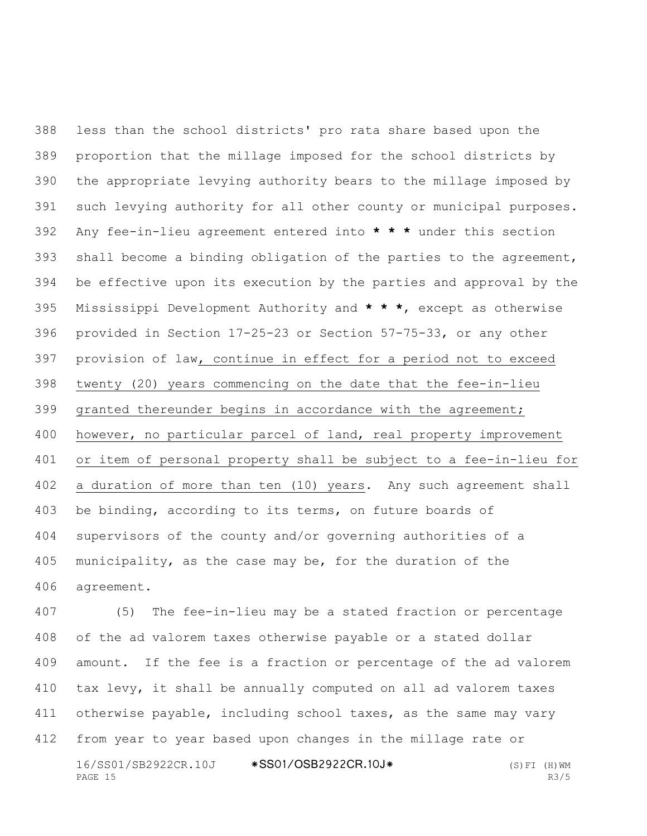less than the school districts' pro rata share based upon the proportion that the millage imposed for the school districts by the appropriate levying authority bears to the millage imposed by such levying authority for all other county or municipal purposes. Any fee-in-lieu agreement entered into **\* \* \*** under this section shall become a binding obligation of the parties to the agreement, be effective upon its execution by the parties and approval by the Mississippi Development Authority and **\* \* \***, except as otherwise provided in Section 17-25-23 or Section 57-75-33, or any other provision of law, continue in effect for a period not to exceed twenty (20) years commencing on the date that the fee-in-lieu granted thereunder begins in accordance with the agreement; however, no particular parcel of land, real property improvement or item of personal property shall be subject to a fee-in-lieu for a duration of more than ten (10) years. Any such agreement shall be binding, according to its terms, on future boards of supervisors of the county and/or governing authorities of a municipality, as the case may be, for the duration of the agreement.

16/SS01/SB2922CR.10J \*SS01/OSB2922CR.10J\* (S)FI (H)WM PAGE 15 R3/5 (5) The fee-in-lieu may be a stated fraction or percentage of the ad valorem taxes otherwise payable or a stated dollar amount. If the fee is a fraction or percentage of the ad valorem tax levy, it shall be annually computed on all ad valorem taxes 411 otherwise payable, including school taxes, as the same may vary from year to year based upon changes in the millage rate or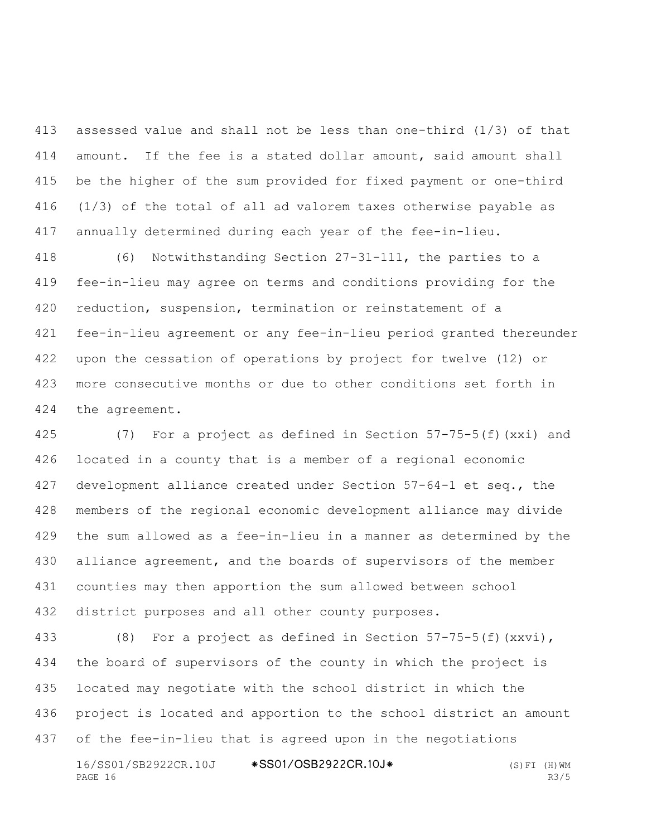assessed value and shall not be less than one-third (1/3) of that amount. If the fee is a stated dollar amount, said amount shall be the higher of the sum provided for fixed payment or one-third (1/3) of the total of all ad valorem taxes otherwise payable as annually determined during each year of the fee-in-lieu.

 (6) Notwithstanding Section 27-31-111, the parties to a fee-in-lieu may agree on terms and conditions providing for the reduction, suspension, termination or reinstatement of a fee-in-lieu agreement or any fee-in-lieu period granted thereunder upon the cessation of operations by project for twelve (12) or more consecutive months or due to other conditions set forth in the agreement.

 (7) For a project as defined in Section 57-75-5(f)(xxi) and located in a county that is a member of a regional economic development alliance created under Section 57-64-1 et seq., the members of the regional economic development alliance may divide the sum allowed as a fee-in-lieu in a manner as determined by the alliance agreement, and the boards of supervisors of the member counties may then apportion the sum allowed between school district purposes and all other county purposes.

 (8) For a project as defined in Section 57-75-5(f)(xxvi), the board of supervisors of the county in which the project is located may negotiate with the school district in which the project is located and apportion to the school district an amount of the fee-in-lieu that is agreed upon in the negotiations

16/SS01/SB2922CR.10J \*SS01/OSB2922CR.10J\* (S)FI (H)WM PAGE 16 R3/5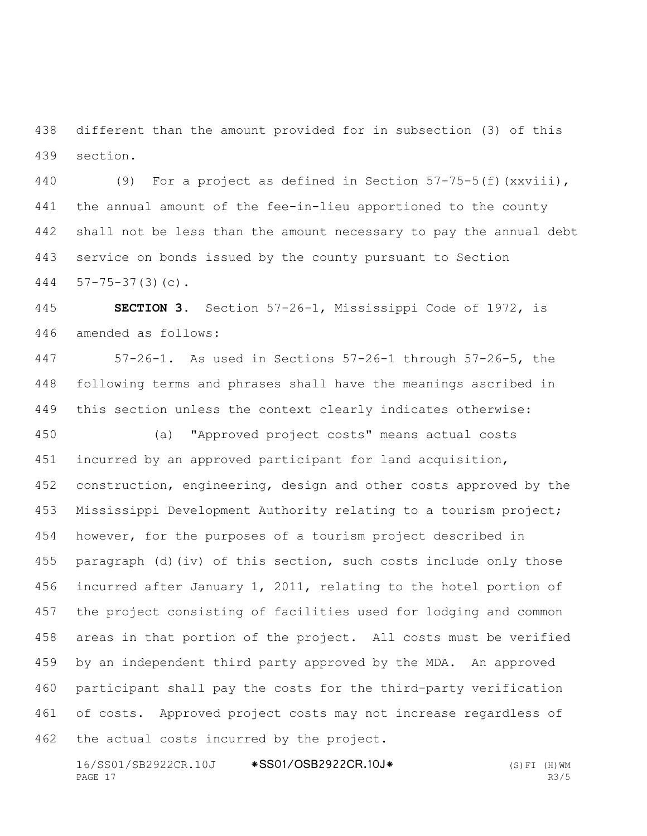different than the amount provided for in subsection (3) of this section.

 (9) For a project as defined in Section 57-75-5(f)(xxviii), the annual amount of the fee-in-lieu apportioned to the county shall not be less than the amount necessary to pay the annual debt service on bonds issued by the county pursuant to Section 57-75-37(3)(c).

 **SECTION 3.** Section 57-26-1, Mississippi Code of 1972, is amended as follows:

 57-26-1. As used in Sections 57-26-1 through 57-26-5, the following terms and phrases shall have the meanings ascribed in this section unless the context clearly indicates otherwise:

 (a) "Approved project costs" means actual costs incurred by an approved participant for land acquisition, construction, engineering, design and other costs approved by the Mississippi Development Authority relating to a tourism project; however, for the purposes of a tourism project described in paragraph (d)(iv) of this section, such costs include only those incurred after January 1, 2011, relating to the hotel portion of the project consisting of facilities used for lodging and common areas in that portion of the project. All costs must be verified by an independent third party approved by the MDA. An approved participant shall pay the costs for the third-party verification of costs. Approved project costs may not increase regardless of the actual costs incurred by the project.

16/SS01/SB2922CR.10J \*SS01/OSB2922CR.10J\* (S)FI (H)WM PAGE 17 R3/5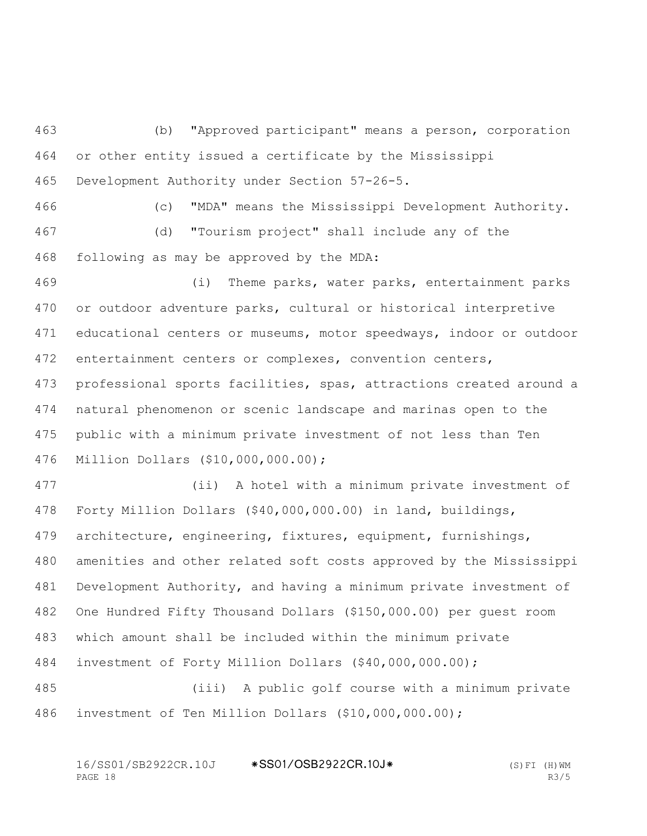(b) "Approved participant" means a person, corporation or other entity issued a certificate by the Mississippi Development Authority under Section 57-26-5.

 (c) "MDA" means the Mississippi Development Authority. (d) "Tourism project" shall include any of the following as may be approved by the MDA:

 (i) Theme parks, water parks, entertainment parks or outdoor adventure parks, cultural or historical interpretive educational centers or museums, motor speedways, indoor or outdoor entertainment centers or complexes, convention centers, professional sports facilities, spas, attractions created around a natural phenomenon or scenic landscape and marinas open to the public with a minimum private investment of not less than Ten Million Dollars (\$10,000,000.00);

 (ii) A hotel with a minimum private investment of Forty Million Dollars (\$40,000,000.00) in land, buildings, architecture, engineering, fixtures, equipment, furnishings, amenities and other related soft costs approved by the Mississippi Development Authority, and having a minimum private investment of One Hundred Fifty Thousand Dollars (\$150,000.00) per guest room which amount shall be included within the minimum private investment of Forty Million Dollars (\$40,000,000.00); (iii) A public golf course with a minimum private

investment of Ten Million Dollars (\$10,000,000.00);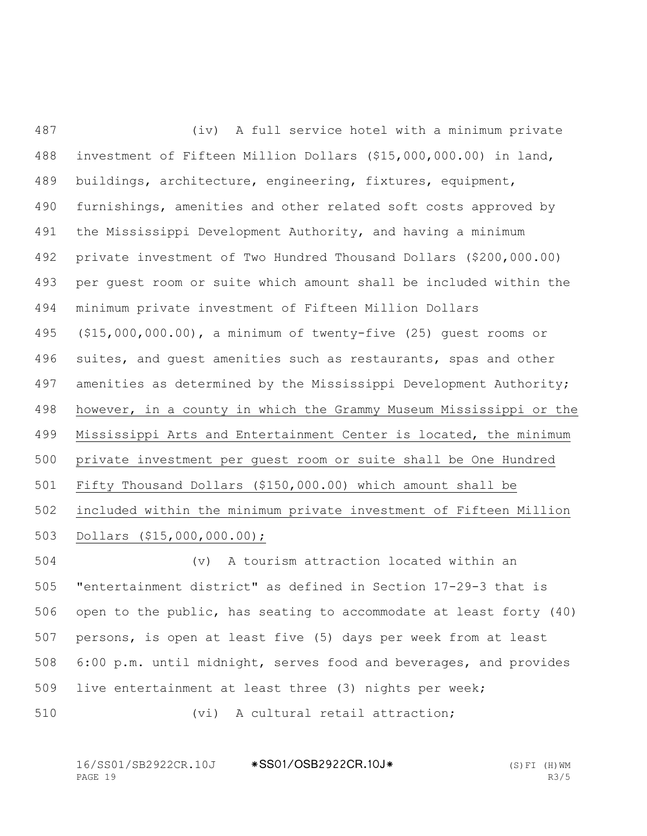(iv) A full service hotel with a minimum private investment of Fifteen Million Dollars (\$15,000,000.00) in land, buildings, architecture, engineering, fixtures, equipment, furnishings, amenities and other related soft costs approved by the Mississippi Development Authority, and having a minimum private investment of Two Hundred Thousand Dollars (\$200,000.00) per guest room or suite which amount shall be included within the minimum private investment of Fifteen Million Dollars (\$15,000,000.00), a minimum of twenty-five (25) guest rooms or suites, and guest amenities such as restaurants, spas and other amenities as determined by the Mississippi Development Authority; however, in a county in which the Grammy Museum Mississippi or the Mississippi Arts and Entertainment Center is located, the minimum private investment per guest room or suite shall be One Hundred Fifty Thousand Dollars (\$150,000.00) which amount shall be included within the minimum private investment of Fifteen Million Dollars (\$15,000,000.00);

 (v) A tourism attraction located within an "entertainment district" as defined in Section 17-29-3 that is open to the public, has seating to accommodate at least forty (40) persons, is open at least five (5) days per week from at least 6:00 p.m. until midnight, serves food and beverages, and provides live entertainment at least three (3) nights per week;

510 (vi) A cultural retail attraction;

16/SS01/SB2922CR.10J \*SS01/OSB2922CR.10J\* (S)FI (H)WM PAGE 19 R3/5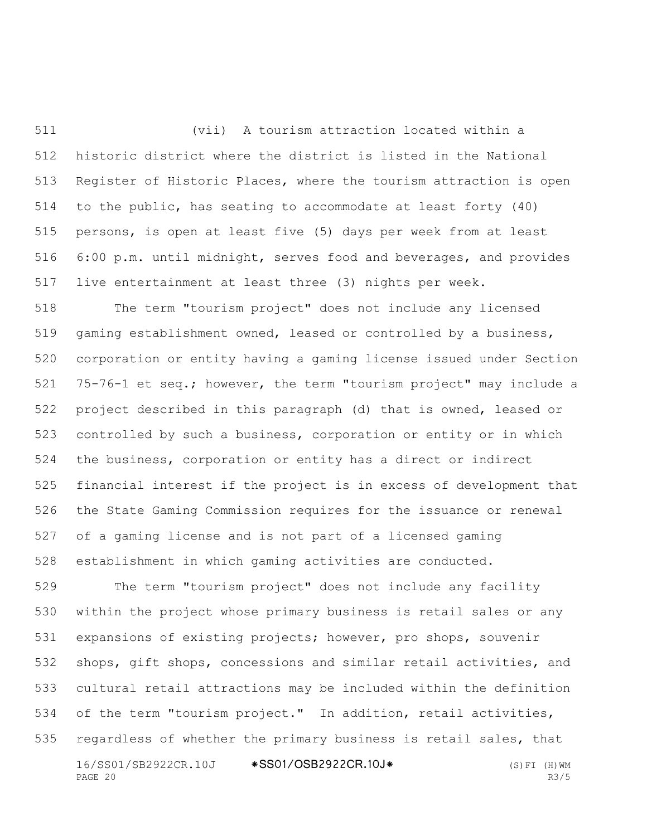(vii) A tourism attraction located within a historic district where the district is listed in the National Register of Historic Places, where the tourism attraction is open to the public, has seating to accommodate at least forty (40) persons, is open at least five (5) days per week from at least 6:00 p.m. until midnight, serves food and beverages, and provides live entertainment at least three (3) nights per week.

 The term "tourism project" does not include any licensed gaming establishment owned, leased or controlled by a business, corporation or entity having a gaming license issued under Section 75-76-1 et seq.; however, the term "tourism project" may include a project described in this paragraph (d) that is owned, leased or controlled by such a business, corporation or entity or in which the business, corporation or entity has a direct or indirect financial interest if the project is in excess of development that the State Gaming Commission requires for the issuance or renewal of a gaming license and is not part of a licensed gaming establishment in which gaming activities are conducted.

16/SS01/SB2922CR.10J \*SS01/OSB2922CR.10J\* (S)FI (H)WM PAGE 20 R3/5 The term "tourism project" does not include any facility within the project whose primary business is retail sales or any expansions of existing projects; however, pro shops, souvenir shops, gift shops, concessions and similar retail activities, and cultural retail attractions may be included within the definition of the term "tourism project." In addition, retail activities, regardless of whether the primary business is retail sales, that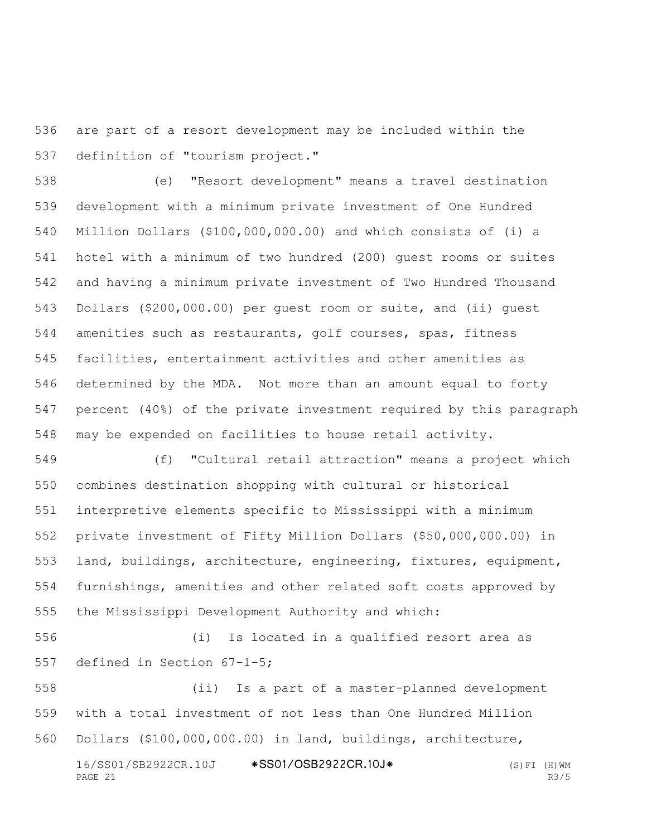are part of a resort development may be included within the definition of "tourism project."

 (e) "Resort development" means a travel destination development with a minimum private investment of One Hundred Million Dollars (\$100,000,000.00) and which consists of (i) a hotel with a minimum of two hundred (200) guest rooms or suites and having a minimum private investment of Two Hundred Thousand Dollars (\$200,000.00) per guest room or suite, and (ii) guest amenities such as restaurants, golf courses, spas, fitness facilities, entertainment activities and other amenities as determined by the MDA. Not more than an amount equal to forty percent (40%) of the private investment required by this paragraph may be expended on facilities to house retail activity.

 (f) "Cultural retail attraction" means a project which combines destination shopping with cultural or historical interpretive elements specific to Mississippi with a minimum private investment of Fifty Million Dollars (\$50,000,000.00) in land, buildings, architecture, engineering, fixtures, equipment, furnishings, amenities and other related soft costs approved by the Mississippi Development Authority and which:

 (i) Is located in a qualified resort area as defined in Section 67-1-5;

16/SS01/SB2922CR.10J \*SS01/OSB2922CR.10J\* (S)FI (H)WM<br>PAGE 21 R3/5 PAGE 21 R3/5 (ii) Is a part of a master-planned development with a total investment of not less than One Hundred Million Dollars (\$100,000,000.00) in land, buildings, architecture,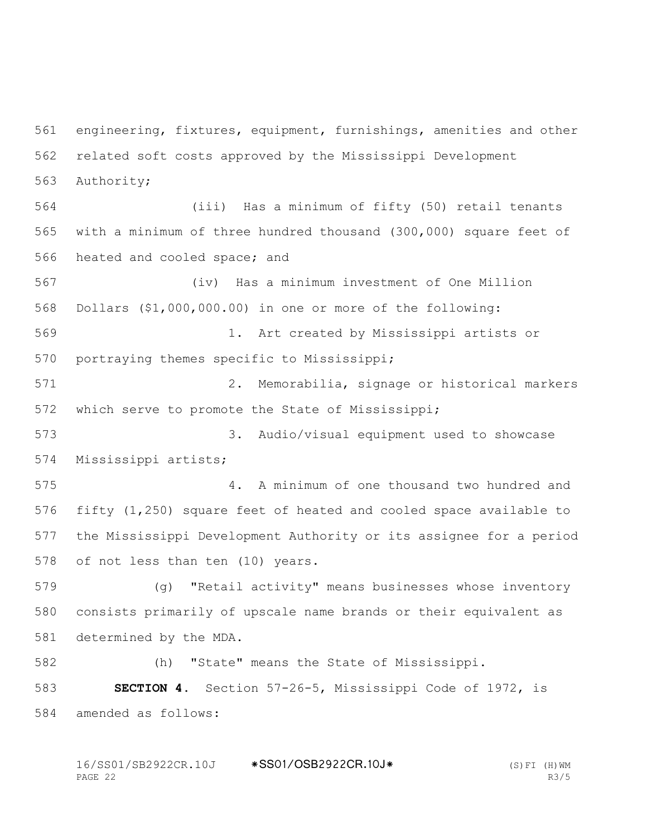engineering, fixtures, equipment, furnishings, amenities and other related soft costs approved by the Mississippi Development Authority;

 (iii) Has a minimum of fifty (50) retail tenants with a minimum of three hundred thousand (300,000) square feet of heated and cooled space; and

 (iv) Has a minimum investment of One Million Dollars (\$1,000,000.00) in one or more of the following: 1. Art created by Mississippi artists or portraying themes specific to Mississippi;

 2. Memorabilia, signage or historical markers which serve to promote the State of Mississippi;

 3. Audio/visual equipment used to showcase Mississippi artists;

 4. A minimum of one thousand two hundred and fifty (1,250) square feet of heated and cooled space available to the Mississippi Development Authority or its assignee for a period of not less than ten (10) years.

 (g) "Retail activity" means businesses whose inventory consists primarily of upscale name brands or their equivalent as determined by the MDA.

(h) "State" means the State of Mississippi.

 **SECTION 4.** Section 57-26-5, Mississippi Code of 1972, is amended as follows:

16/SS01/SB2922CR.10J \*SS01/OSB2922CR.10J\* (S)FI (H)WM<br>PAGE 22 R3/5 PAGE 22 R3/5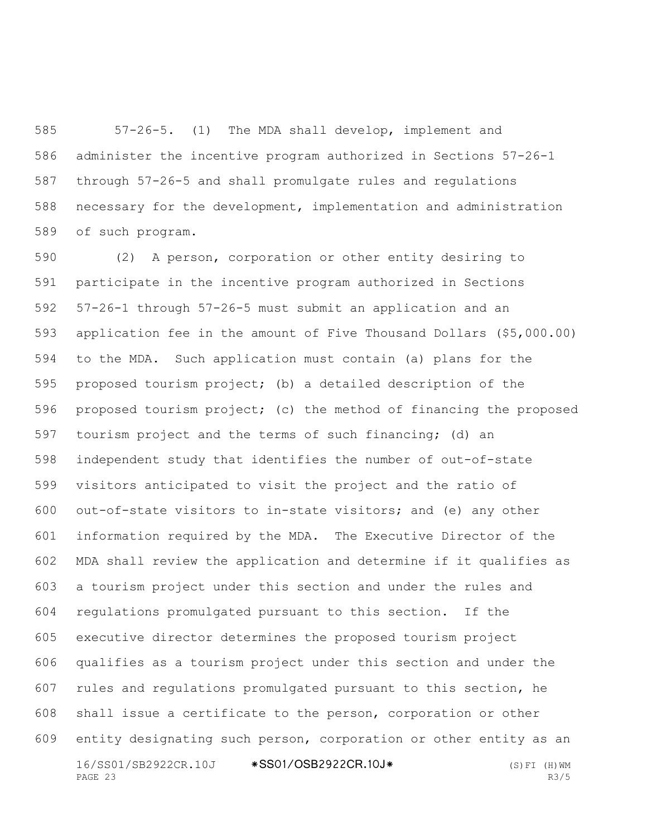57-26-5. (1) The MDA shall develop, implement and administer the incentive program authorized in Sections 57-26-1 through 57-26-5 and shall promulgate rules and regulations necessary for the development, implementation and administration of such program.

16/SS01/SB2922CR.10J \*SS01/OSB2922CR.10J\* (S)FI (H)WM PAGE 23 R3/5 (2) A person, corporation or other entity desiring to participate in the incentive program authorized in Sections 57-26-1 through 57-26-5 must submit an application and an application fee in the amount of Five Thousand Dollars (\$5,000.00) to the MDA. Such application must contain (a) plans for the proposed tourism project; (b) a detailed description of the proposed tourism project; (c) the method of financing the proposed tourism project and the terms of such financing; (d) an independent study that identifies the number of out-of-state visitors anticipated to visit the project and the ratio of out-of-state visitors to in-state visitors; and (e) any other information required by the MDA. The Executive Director of the MDA shall review the application and determine if it qualifies as a tourism project under this section and under the rules and regulations promulgated pursuant to this section. If the executive director determines the proposed tourism project qualifies as a tourism project under this section and under the rules and regulations promulgated pursuant to this section, he shall issue a certificate to the person, corporation or other entity designating such person, corporation or other entity as an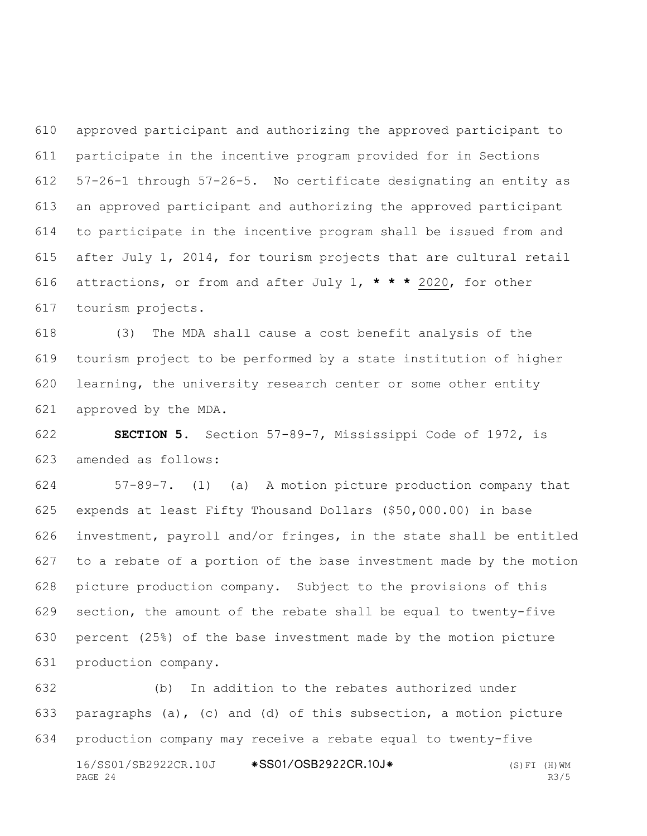approved participant and authorizing the approved participant to participate in the incentive program provided for in Sections 57-26-1 through 57-26-5. No certificate designating an entity as an approved participant and authorizing the approved participant to participate in the incentive program shall be issued from and after July 1, 2014, for tourism projects that are cultural retail attractions, or from and after July 1, **\* \* \*** 2020, for other tourism projects.

 (3) The MDA shall cause a cost benefit analysis of the tourism project to be performed by a state institution of higher learning, the university research center or some other entity approved by the MDA.

 **SECTION 5.** Section 57-89-7, Mississippi Code of 1972, is amended as follows:

 57-89-7. (1) (a) A motion picture production company that expends at least Fifty Thousand Dollars (\$50,000.00) in base investment, payroll and/or fringes, in the state shall be entitled to a rebate of a portion of the base investment made by the motion picture production company. Subject to the provisions of this section, the amount of the rebate shall be equal to twenty-five percent (25%) of the base investment made by the motion picture production company.

16/SS01/SB2922CR.10J \*SS01/OSB2922CR.10J\* (S)FI (H)WM  $PAGE$  24 R3/5 (b) In addition to the rebates authorized under paragraphs (a), (c) and (d) of this subsection, a motion picture production company may receive a rebate equal to twenty-five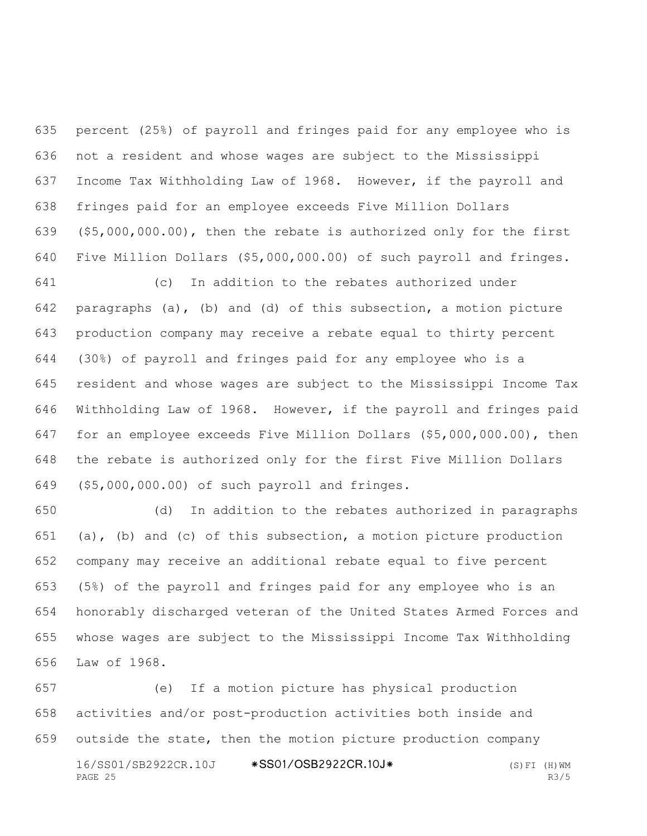percent (25%) of payroll and fringes paid for any employee who is not a resident and whose wages are subject to the Mississippi Income Tax Withholding Law of 1968. However, if the payroll and fringes paid for an employee exceeds Five Million Dollars (\$5,000,000.00), then the rebate is authorized only for the first Five Million Dollars (\$5,000,000.00) of such payroll and fringes.

 (c) In addition to the rebates authorized under paragraphs (a), (b) and (d) of this subsection, a motion picture production company may receive a rebate equal to thirty percent (30%) of payroll and fringes paid for any employee who is a resident and whose wages are subject to the Mississippi Income Tax Withholding Law of 1968. However, if the payroll and fringes paid for an employee exceeds Five Million Dollars (\$5,000,000.00), then the rebate is authorized only for the first Five Million Dollars (\$5,000,000.00) of such payroll and fringes.

 (d) In addition to the rebates authorized in paragraphs 651 (a), (b) and (c) of this subsection, a motion picture production company may receive an additional rebate equal to five percent (5%) of the payroll and fringes paid for any employee who is an honorably discharged veteran of the United States Armed Forces and whose wages are subject to the Mississippi Income Tax Withholding Law of 1968.

16/SS01/SB2922CR.10J \*SS01/OSB2922CR.10J\* (S)FI (H)WM<br>PAGE 25 R3/5 PAGE 25 R3/5 (e) If a motion picture has physical production activities and/or post-production activities both inside and outside the state, then the motion picture production company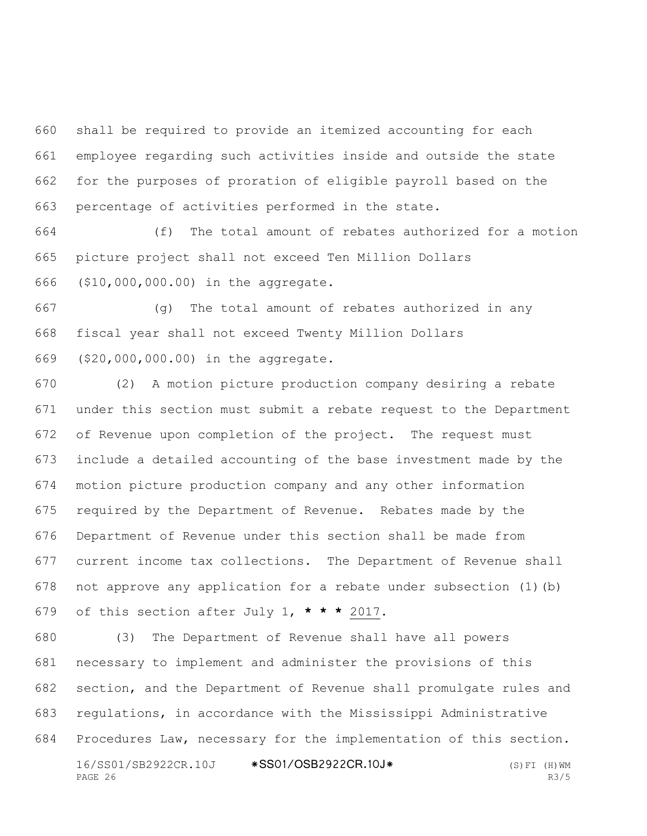shall be required to provide an itemized accounting for each employee regarding such activities inside and outside the state for the purposes of proration of eligible payroll based on the percentage of activities performed in the state.

 (f) The total amount of rebates authorized for a motion picture project shall not exceed Ten Million Dollars (\$10,000,000.00) in the aggregate.

 (g) The total amount of rebates authorized in any fiscal year shall not exceed Twenty Million Dollars (\$20,000,000.00) in the aggregate.

 (2) A motion picture production company desiring a rebate under this section must submit a rebate request to the Department of Revenue upon completion of the project. The request must include a detailed accounting of the base investment made by the motion picture production company and any other information required by the Department of Revenue. Rebates made by the Department of Revenue under this section shall be made from current income tax collections. The Department of Revenue shall not approve any application for a rebate under subsection (1)(b) of this section after July 1, **\* \* \*** 2017.

16/SS01/SB2922CR.10J \*SS01/OSB2922CR.10J\* (S)FI (H)WM PAGE 26 R3/5 (3) The Department of Revenue shall have all powers necessary to implement and administer the provisions of this section, and the Department of Revenue shall promulgate rules and regulations, in accordance with the Mississippi Administrative Procedures Law, necessary for the implementation of this section.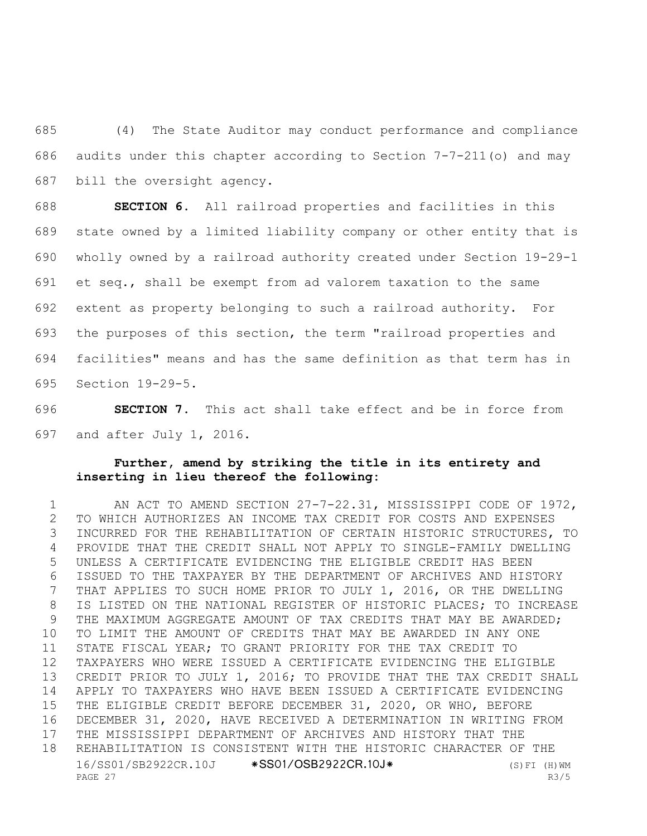(4) The State Auditor may conduct performance and compliance audits under this chapter according to Section 7-7-211(o) and may bill the oversight agency.

 **SECTION 6.** All railroad properties and facilities in this state owned by a limited liability company or other entity that is wholly owned by a railroad authority created under Section 19-29-1 et seq., shall be exempt from ad valorem taxation to the same extent as property belonging to such a railroad authority. For the purposes of this section, the term "railroad properties and facilities" means and has the same definition as that term has in Section 19-29-5.

 **SECTION 7.** This act shall take effect and be in force from and after July 1, 2016.

## **Further, amend by striking the title in its entirety and inserting in lieu thereof the following:**

16/SS01/SB2922CR.10J \*SS01/OSB2922CR.10J\* (S)FI (H)WM PAGE 27 R3/5 AN ACT TO AMEND SECTION 27-7-22.31, MISSISSIPPI CODE OF 1972, TO WHICH AUTHORIZES AN INCOME TAX CREDIT FOR COSTS AND EXPENSES INCURRED FOR THE REHABILITATION OF CERTAIN HISTORIC STRUCTURES, TO PROVIDE THAT THE CREDIT SHALL NOT APPLY TO SINGLE-FAMILY DWELLING UNLESS A CERTIFICATE EVIDENCING THE ELIGIBLE CREDIT HAS BEEN ISSUED TO THE TAXPAYER BY THE DEPARTMENT OF ARCHIVES AND HISTORY THAT APPLIES TO SUCH HOME PRIOR TO JULY 1, 2016, OR THE DWELLING 8 IS LISTED ON THE NATIONAL REGISTER OF HISTORIC PLACES; TO INCREASE THE MAXIMUM AGGREGATE AMOUNT OF TAX CREDITS THAT MAY BE AWARDED; TO LIMIT THE AMOUNT OF CREDITS THAT MAY BE AWARDED IN ANY ONE STATE FISCAL YEAR; TO GRANT PRIORITY FOR THE TAX CREDIT TO TAXPAYERS WHO WERE ISSUED A CERTIFICATE EVIDENCING THE ELIGIBLE CREDIT PRIOR TO JULY 1, 2016; TO PROVIDE THAT THE TAX CREDIT SHALL APPLY TO TAXPAYERS WHO HAVE BEEN ISSUED A CERTIFICATE EVIDENCING THE ELIGIBLE CREDIT BEFORE DECEMBER 31, 2020, OR WHO, BEFORE DECEMBER 31, 2020, HAVE RECEIVED A DETERMINATION IN WRITING FROM THE MISSISSIPPI DEPARTMENT OF ARCHIVES AND HISTORY THAT THE REHABILITATION IS CONSISTENT WITH THE HISTORIC CHARACTER OF THE